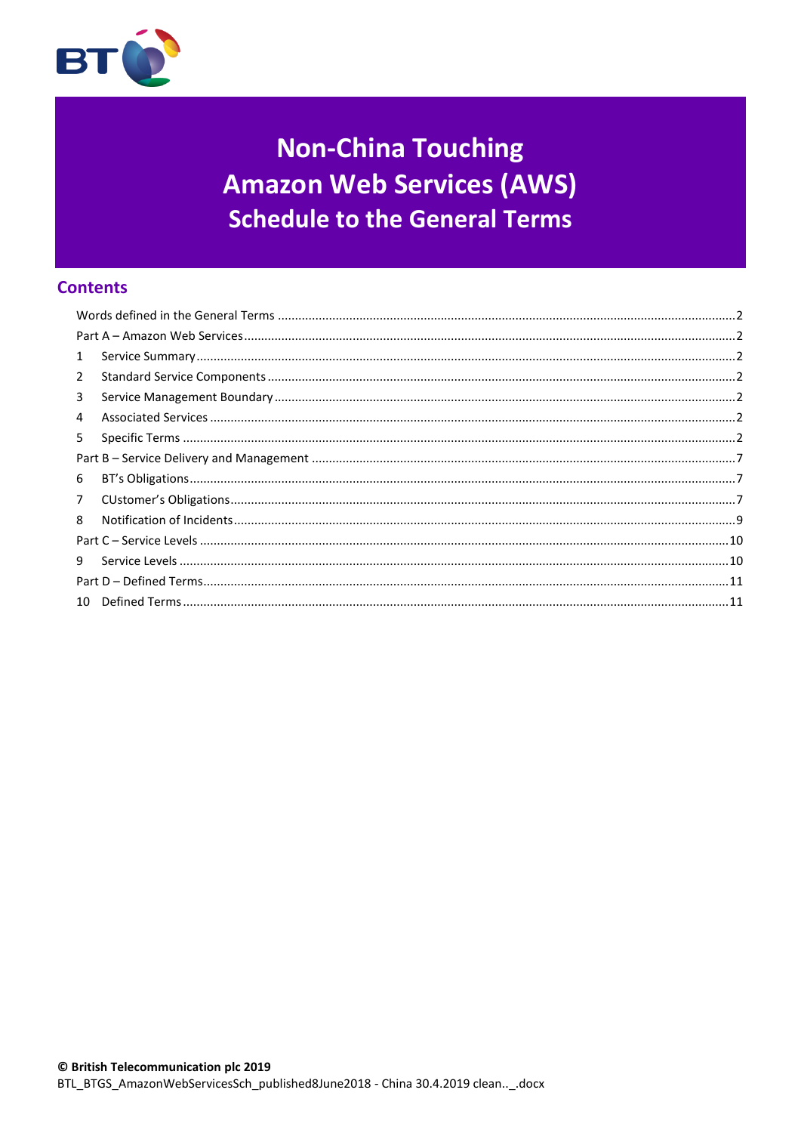

# **Non-China Touching Amazon Web Services (AWS) Schedule to the General Terms**

# **Contents**

| $\mathbf{1}$   |  |  |
|----------------|--|--|
| $\overline{2}$ |  |  |
| 3              |  |  |
| 4              |  |  |
| 5              |  |  |
|                |  |  |
| 6              |  |  |
| $7^{\circ}$    |  |  |
| 8              |  |  |
|                |  |  |
| 9              |  |  |
|                |  |  |
|                |  |  |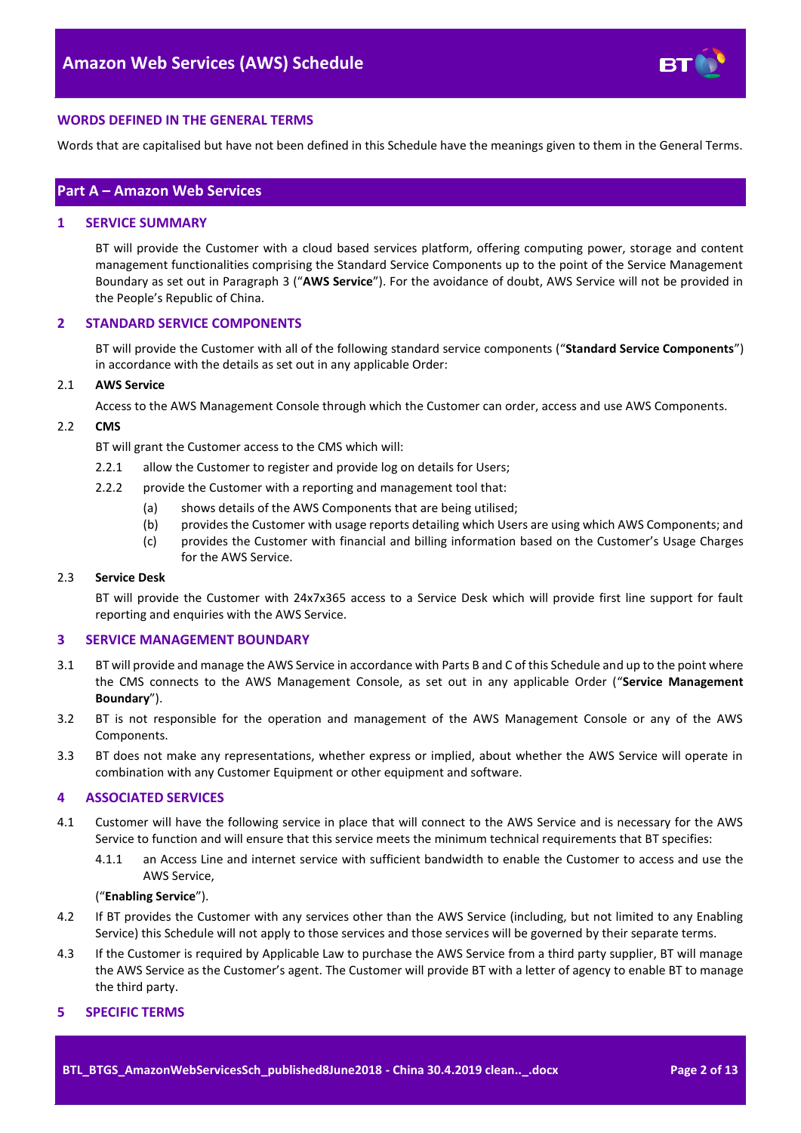

## <span id="page-1-0"></span>**WORDS DEFINED IN THE GENERAL TERMS**

Words that are capitalised but have not been defined in this Schedule have the meanings given to them in the General Terms.

## <span id="page-1-1"></span>**Part A – Amazon Web Services**

#### <span id="page-1-2"></span>**1 SERVICE SUMMARY**

BT will provide the Customer with a cloud based services platform, offering computing power, storage and content management functionalities comprising the Standard Service Components up to the point of the Service Management Boundary as set out in Paragraph [3](#page-1-4) ("**AWS Service**"). For the avoidance of doubt, AWS Service will not be provided in the People's Republic of China.

#### <span id="page-1-3"></span>**2 STANDARD SERVICE COMPONENTS**

BT will provide the Customer with all of the following standard service components ("**Standard Service Components**") in accordance with the details as set out in any applicable Order:

#### 2.1 **AWS Service**

Access to the AWS Management Console through which the Customer can order, access and use AWS Components.

#### <span id="page-1-7"></span>2.2 **CMS**

BT will grant the Customer access to the CMS which will:

- 2.2.1 allow the Customer to register and provide log on details for Users:
- 2.2.2 provide the Customer with a reporting and management tool that:
	- (a) shows details of the AWS Components that are being utilised;
	- (b) provides the Customer with usage reports detailing which Users are using which AWS Components; and
	- (c) provides the Customer with financial and billing information based on the Customer's Usage Charges for the AWS Service.

#### 2.3 **Service Desk**

BT will provide the Customer with 24x7x365 access to a Service Desk which will provide first line support for fault reporting and enquiries with the AWS Service.

#### <span id="page-1-4"></span>**3 SERVICE MANAGEMENT BOUNDARY**

- <span id="page-1-9"></span>3.1 BT will provide and manage the AWS Service in accordance with Parts B and C of this Schedule and up to the point where the CMS connects to the AWS Management Console, as set out in any applicable Order ("**Service Management Boundary**").
- 3.2 BT is not responsible for the operation and management of the AWS Management Console or any of the AWS Components.
- 3.3 BT does not make any representations, whether express or implied, about whether the AWS Service will operate in combination with any Customer Equipment or other equipment and software.

## <span id="page-1-5"></span>**4 ASSOCIATED SERVICES**

- <span id="page-1-8"></span>4.1 Customer will have the following service in place that will connect to the AWS Service and is necessary for the AWS Service to function and will ensure that this service meets the minimum technical requirements that BT specifies:
	- 4.1.1 an Access Line and internet service with sufficient bandwidth to enable the Customer to access and use the AWS Service,

## ("**Enabling Service**").

- 4.2 If BT provides the Customer with any services other than the AWS Service (including, but not limited to any Enabling Service) this Schedule will not apply to those services and those services will be governed by their separate terms.
- 4.3 If the Customer is required by Applicable Law to purchase the AWS Service from a third party supplier, BT will manage the AWS Service as the Customer's agent. The Customer will provide BT with a letter of agency to enable BT to manage the third party.

#### <span id="page-1-6"></span>**5 SPECIFIC TERMS**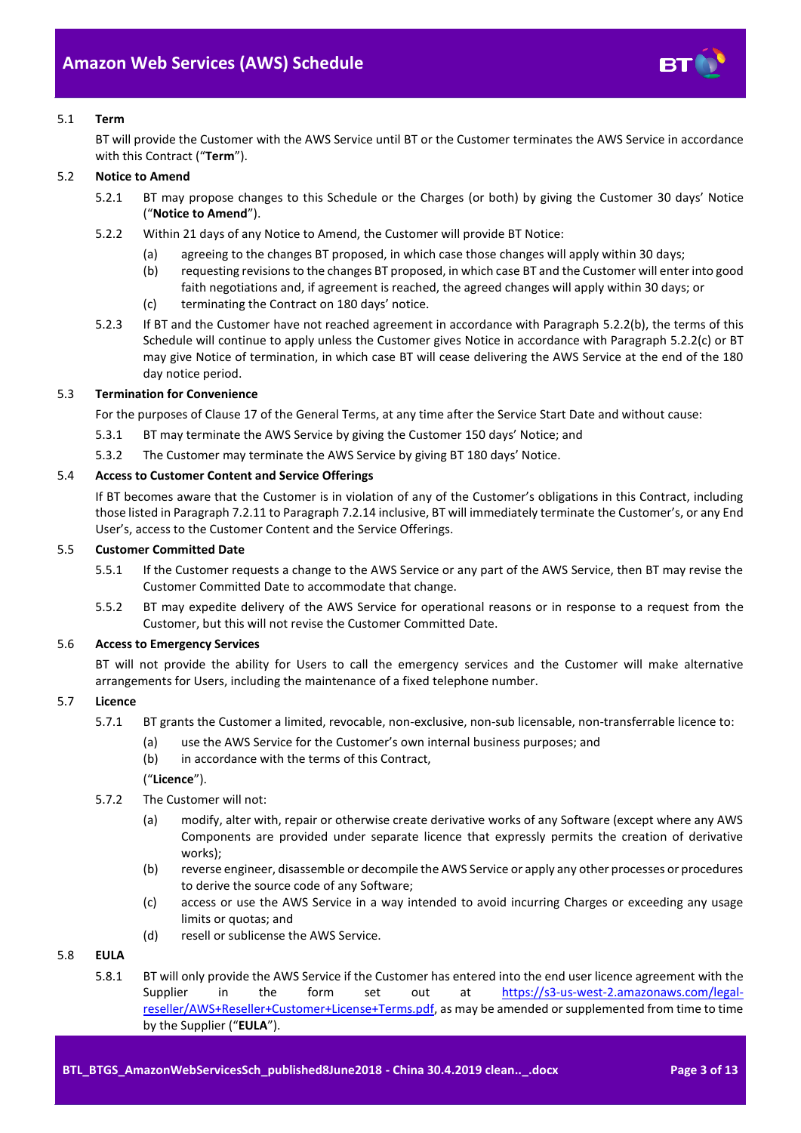

## 5.1 **Term**

BT will provide the Customer with the AWS Service until BT or the Customer terminates the AWS Service in accordance with this Contract ("**Term**").

## <span id="page-2-4"></span>5.2 **Notice to Amend**

- 5.2.1 BT may propose changes to this Schedule or the Charges (or both) by giving the Customer 30 days' Notice ("**Notice to Amend**").
- <span id="page-2-0"></span>5.2.2 Within 21 days of any Notice to Amend, the Customer will provide BT Notice:
	- (a) agreeing to the changes BT proposed, in which case those changes will apply within 30 days;
	- (b) requesting revisions to the changes BT proposed, in which case BT and the Customer will enter into good faith negotiations and, if agreement is reached, the agreed changes will apply within 30 days; or
	- (c) terminating the Contract on 180 days' notice.
- <span id="page-2-1"></span>5.2.3 If BT and the Customer have not reached agreement in accordance with Paragraph [5.2.2\(b\),](#page-2-0) the terms of this Schedule will continue to apply unless the Customer gives Notice in accordance with Paragraph [5.2.2\(c\)](#page-2-1) or BT may give Notice of termination, in which case BT will cease delivering the AWS Service at the end of the 180 day notice period.

## 5.3 **Termination for Convenience**

For the purposes of Clause 17 of the General Terms, at any time after the Service Start Date and without cause:

- 5.3.1 BT may terminate the AWS Service by giving the Customer 150 days' Notice; and
- 5.3.2 The Customer may terminate the AWS Service by giving BT 180 days' Notice.

## 5.4 **Access to Customer Content and Service Offerings**

If BT becomes aware that the Customer is in violation of any of the Customer's obligations in this Contract, including those listed in Paragraph [7.2.11](#page-7-0) to Paragrap[h 7.2.14](#page-8-1) inclusive, BT will immediately terminate the Customer's, or any End User's, access to the Customer Content and the Service Offerings.

## 5.5 **Customer Committed Date**

- 5.5.1 If the Customer requests a change to the AWS Service or any part of the AWS Service, then BT may revise the Customer Committed Date to accommodate that change.
- 5.5.2 BT may expedite delivery of the AWS Service for operational reasons or in response to a request from the Customer, but this will not revise the Customer Committed Date.

## 5.6 **Access to Emergency Services**

BT will not provide the ability for Users to call the emergency services and the Customer will make alternative arrangements for Users, including the maintenance of a fixed telephone number.

## <span id="page-2-3"></span>5.7 **Licence**

- 5.7.1 BT grants the Customer a limited, revocable, non-exclusive, non-sub licensable, non-transferrable licence to:
	- (a) use the AWS Service for the Customer's own internal business purposes; and
	- (b) in accordance with the terms of this Contract,

("**Licence**").

- 5.7.2 The Customer will not:
	- (a) modify, alter with, repair or otherwise create derivative works of any Software (except where any AWS Components are provided under separate licence that expressly permits the creation of derivative works);
	- (b) reverse engineer, disassemble or decompile the AWS Service or apply any other processes or procedures to derive the source code of any Software;
	- (c) access or use the AWS Service in a way intended to avoid incurring Charges or exceeding any usage limits or quotas; and
	- (d) resell or sublicense the AWS Service.

## <span id="page-2-2"></span>5.8 **EULA**

5.8.1 BT will only provide the AWS Service if the Customer has entered into the end user licence agreement with the Supplier in the form set out at [https://s3-us-west-2.amazonaws.com/legal](https://s3-us-west-2.amazonaws.com/legal-reseller/AWS+Reseller+Customer+License+Terms.pdf)[reseller/AWS+Reseller+Customer+License+Terms.pdf,](https://s3-us-west-2.amazonaws.com/legal-reseller/AWS+Reseller+Customer+License+Terms.pdf) as may be amended or supplemented from time to time by the Supplier ("**EULA**").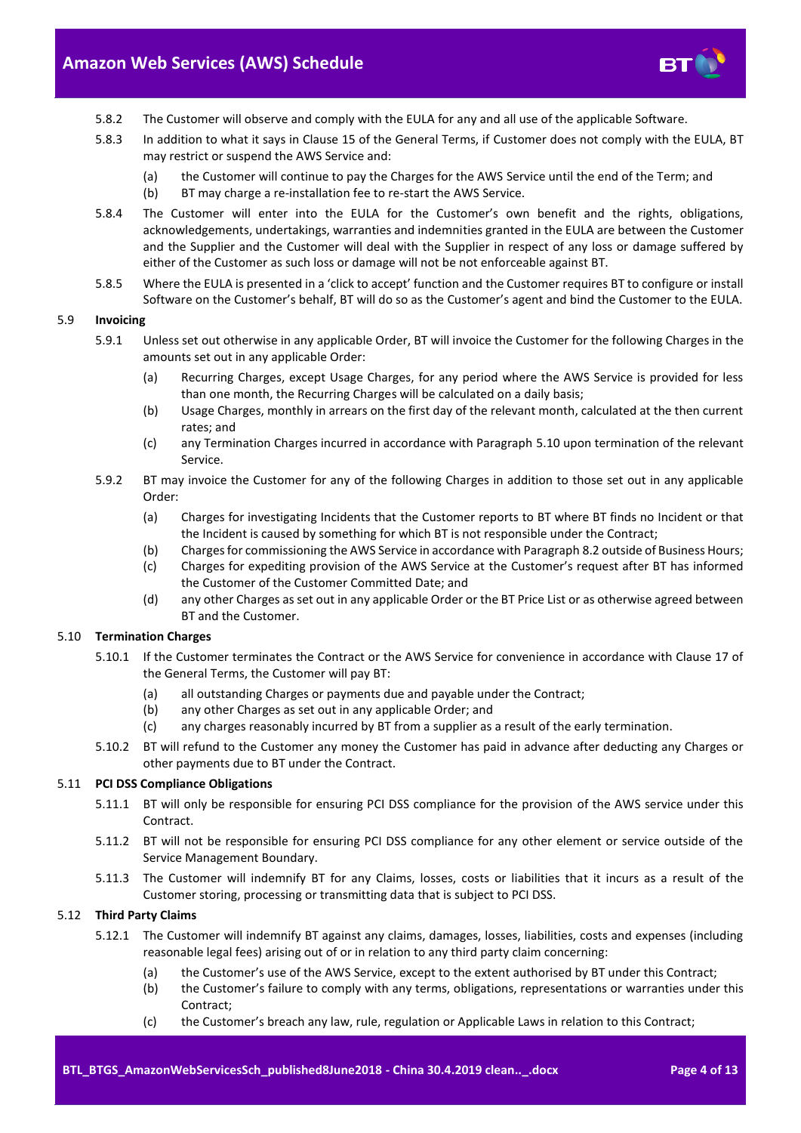

- 5.8.2 The Customer will observe and comply with the EULA for any and all use of the applicable Software.
- 5.8.3 In addition to what it says in Clause 15 of the General Terms, if Customer does not comply with the EULA, BT may restrict or suspend the AWS Service and:
	- (a) the Customer will continue to pay the Charges for the AWS Service until the end of the Term; and
	- (b) BT may charge a re-installation fee to re-start the AWS Service.
- 5.8.4 The Customer will enter into the EULA for the Customer's own benefit and the rights, obligations, acknowledgements, undertakings, warranties and indemnities granted in the EULA are between the Customer and the Supplier and the Customer will deal with the Supplier in respect of any loss or damage suffered by either of the Customer as such loss or damage will not be not enforceable against BT.
- 5.8.5 Where the EULA is presented in a 'click to accept' function and the Customer requires BT to configure or install Software on the Customer's behalf, BT will do so as the Customer's agent and bind the Customer to the EULA.

#### 5.9 **Invoicing**

- 5.9.1 Unless set out otherwise in any applicable Order, BT will invoice the Customer for the following Charges in the amounts set out in any applicable Order:
	- (a) Recurring Charges, except Usage Charges, for any period where the AWS Service is provided for less than one month, the Recurring Charges will be calculated on a daily basis;
	- (b) Usage Charges, monthly in arrears on the first day of the relevant month, calculated at the then current rates; and
	- (c) any Termination Charges incurred in accordance with Paragraph [5.10](#page-3-0) upon termination of the relevant Service.
- 5.9.2 BT may invoice the Customer for any of the following Charges in addition to those set out in any applicable Order:
	- (a) Charges for investigating Incidents that the Customer reports to BT where BT finds no Incident or that the Incident is caused by something for which BT is not responsible under the Contract;
	- (b) Charges for commissioning the AWS Service in accordance with Paragraph [8.2](#page-8-2) outside of Business Hours;
	- (c) Charges for expediting provision of the AWS Service at the Customer's request after BT has informed the Customer of the Customer Committed Date; and
	- (d) any other Charges as set out in any applicable Order or the BT Price List or as otherwise agreed between BT and the Customer.

## <span id="page-3-0"></span>5.10 **Termination Charges**

- 5.10.1 If the Customer terminates the Contract or the AWS Service for convenience in accordance with Clause 17 of the General Terms, the Customer will pay BT:
	- (a) all outstanding Charges or payments due and payable under the Contract;
	- (b) any other Charges as set out in any applicable Order; and
	- (c) any charges reasonably incurred by BT from a supplier as a result of the early termination.
- 5.10.2 BT will refund to the Customer any money the Customer has paid in advance after deducting any Charges or other payments due to BT under the Contract.

## 5.11 **PCI DSS Compliance Obligations**

- 5.11.1 BT will only be responsible for ensuring PCI DSS compliance for the provision of the AWS service under this **Contract.**
- 5.11.2 BT will not be responsible for ensuring PCI DSS compliance for any other element or service outside of the Service Management Boundary.
- 5.11.3 The Customer will indemnify BT for any Claims, losses, costs or liabilities that it incurs as a result of the Customer storing, processing or transmitting data that is subject to PCI DSS.

#### <span id="page-3-1"></span>5.12 **Third Party Claims**

- 5.12.1 The Customer will indemnify BT against any claims, damages, losses, liabilities, costs and expenses (including reasonable legal fees) arising out of or in relation to any third party claim concerning:
	- (a) the Customer's use of the AWS Service, except to the extent authorised by BT under this Contract;
	- (b) the Customer's failure to comply with any terms, obligations, representations or warranties under this Contract;
	- (c) the Customer's breach any law, rule, regulation or Applicable Laws in relation to this Contract;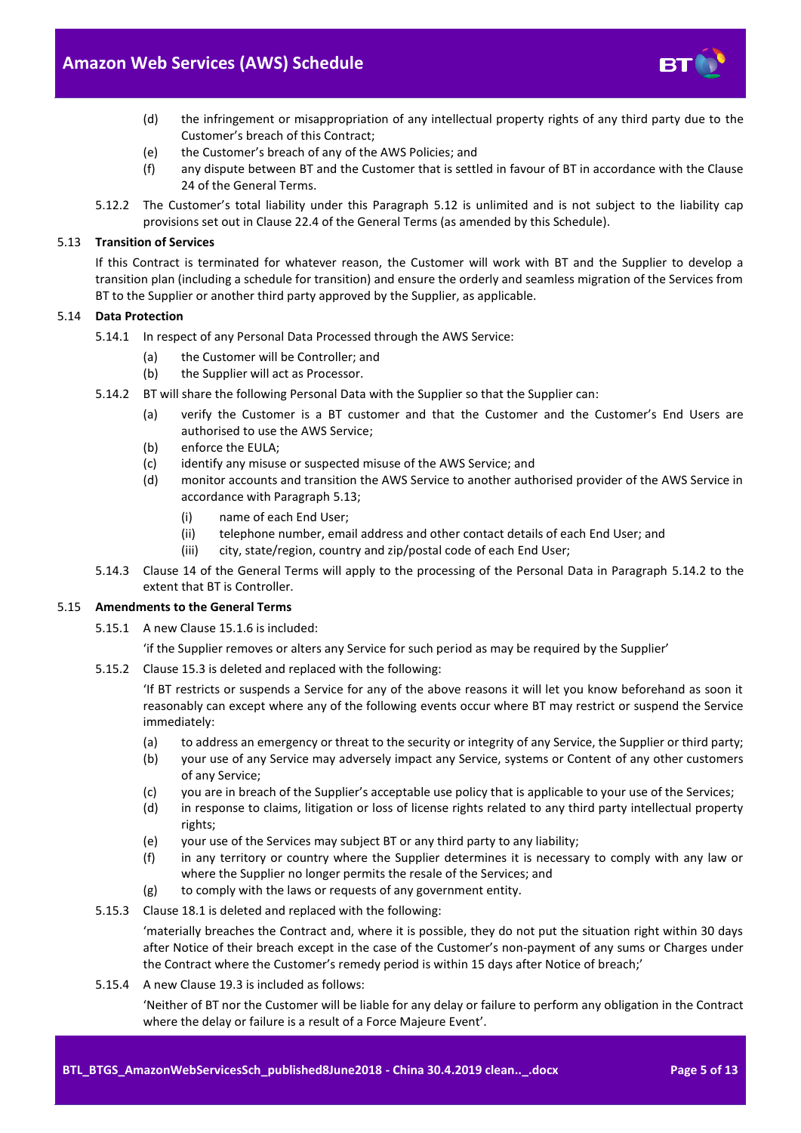

- (d) the infringement or misappropriation of any intellectual property rights of any third party due to the Customer's breach of this Contract;
- (e) the Customer's breach of any of the AWS Policies; and
- (f) any dispute between BT and the Customer that is settled in favour of BT in accordance with the Clause 24 of the General Terms.
- 5.12.2 The Customer's total liability under this Paragraph [5.12](#page-3-1) is unlimited and is not subject to the liability cap provisions set out in Clause 22.4 of the General Terms (as amended by this Schedule).

## <span id="page-4-0"></span>5.13 **Transition of Services**

If this Contract is terminated for whatever reason, the Customer will work with BT and the Supplier to develop a transition plan (including a schedule for transition) and ensure the orderly and seamless migration of the Services from BT to the Supplier or another third party approved by the Supplier, as applicable.

## 5.14 **Data Protection**

- 5.14.1 In respect of any Personal Data Processed through the AWS Service:
	- (a) the Customer will be Controller; and
	- (b) the Supplier will act as Processor.
- <span id="page-4-1"></span>5.14.2 BT will share the following Personal Data with the Supplier so that the Supplier can:
	- (a) verify the Customer is a BT customer and that the Customer and the Customer's End Users are authorised to use the AWS Service;
	- (b) enforce the EULA;
	- (c) identify any misuse or suspected misuse of the AWS Service; and
	- (d) monitor accounts and transition the AWS Service to another authorised provider of the AWS Service in accordance with Paragraph [5.13;](#page-4-0)
		- (i) name of each End User;
		- (ii) telephone number, email address and other contact details of each End User; and
		- (iii) city, state/region, country and zip/postal code of each End User;
- 5.14.3 Clause 14 of the General Terms will apply to the processing of the Personal Data in Paragraph [5.14.2](#page-4-1) to the extent that BT is Controller.

#### 5.15 **Amendments to the General Terms**

5.15.1 A new Clause 15.1.6 is included:

'if the Supplier removes or alters any Service for such period as may be required by the Supplier'

5.15.2 Clause 15.3 is deleted and replaced with the following:

'If BT restricts or suspends a Service for any of the above reasons it will let you know beforehand as soon it reasonably can except where any of the following events occur where BT may restrict or suspend the Service immediately:

- (a) to address an emergency or threat to the security or integrity of any Service, the Supplier or third party;
- (b) your use of any Service may adversely impact any Service, systems or Content of any other customers of any Service;
- (c) you are in breach of the Supplier's acceptable use policy that is applicable to your use of the Services;
- (d) in response to claims, litigation or loss of license rights related to any third party intellectual property rights;
- (e) your use of the Services may subject BT or any third party to any liability;
- (f) in any territory or country where the Supplier determines it is necessary to comply with any law or where the Supplier no longer permits the resale of the Services; and
- (g) to comply with the laws or requests of any government entity.
- 5.15.3 Clause 18.1 is deleted and replaced with the following:

'materially breaches the Contract and, where it is possible, they do not put the situation right within 30 days after Notice of their breach except in the case of the Customer's non-payment of any sums or Charges under the Contract where the Customer's remedy period is within 15 days after Notice of breach;'

5.15.4 A new Clause 19.3 is included as follows:

'Neither of BT nor the Customer will be liable for any delay or failure to perform any obligation in the Contract where the delay or failure is a result of a Force Majeure Event'.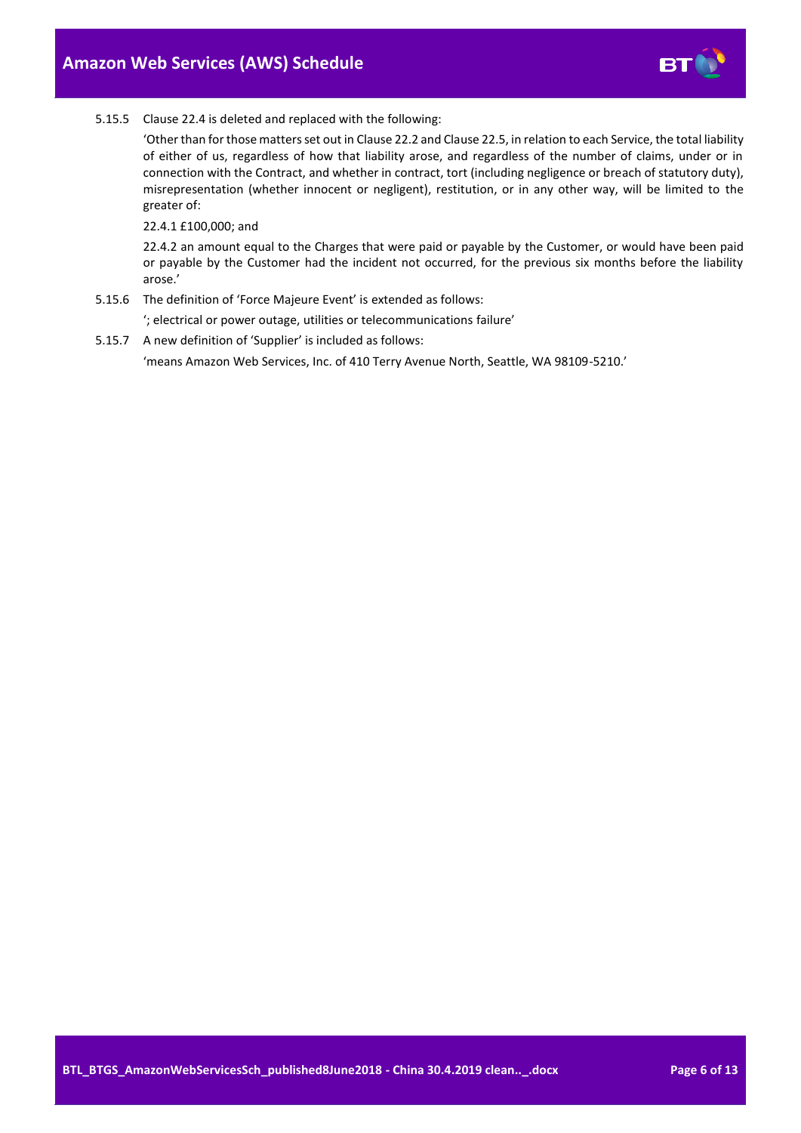

#### 5.15.5 Clause 22.4 is deleted and replaced with the following:

'Other than for those matters set out in Clause 22.2 and Clause 22.5, in relation to each Service, the total liability of either of us, regardless of how that liability arose, and regardless of the number of claims, under or in connection with the Contract, and whether in contract, tort (including negligence or breach of statutory duty), misrepresentation (whether innocent or negligent), restitution, or in any other way, will be limited to the greater of:

22.4.1 £100,000; and

22.4.2 an amount equal to the Charges that were paid or payable by the Customer, or would have been paid or payable by the Customer had the incident not occurred, for the previous six months before the liability arose.'

5.15.6 The definition of 'Force Majeure Event' is extended as follows:

'; electrical or power outage, utilities or telecommunications failure'

5.15.7 A new definition of 'Supplier' is included as follows:

'means Amazon Web Services, Inc. of 410 Terry Avenue North, Seattle, WA 98109-5210.'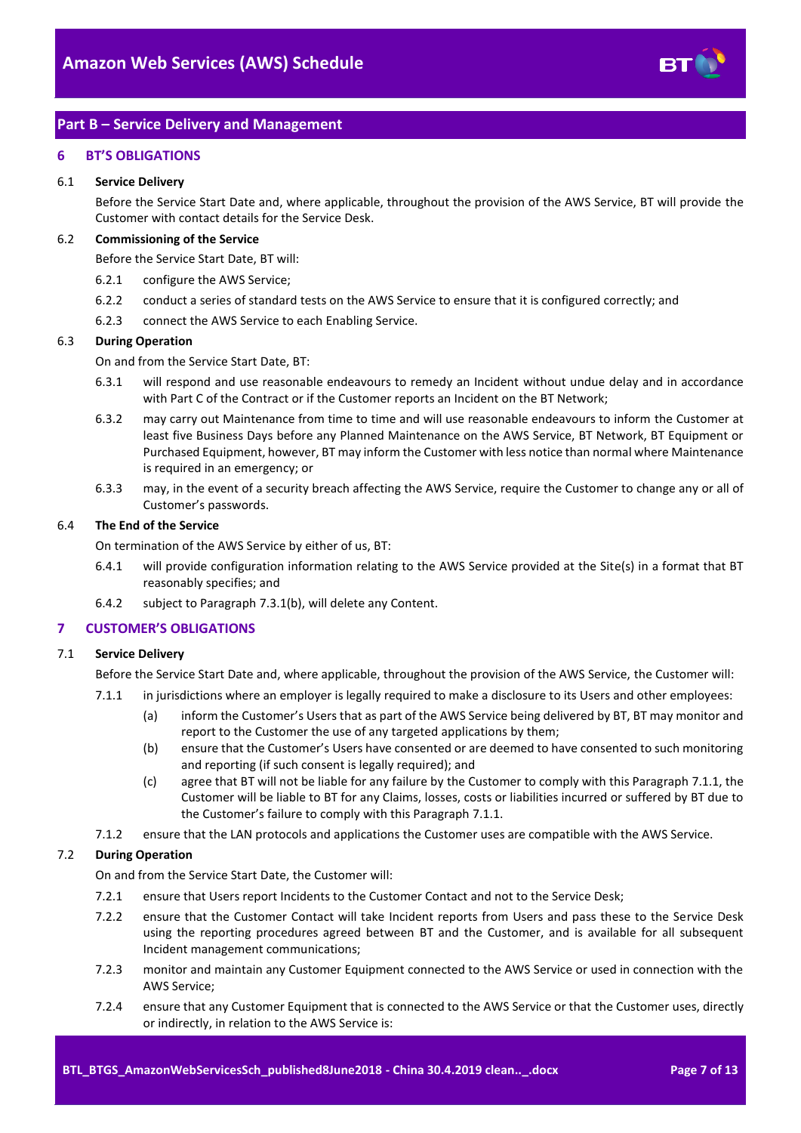

## <span id="page-6-0"></span>**Part B – Service Delivery and Management**

#### <span id="page-6-1"></span>**6 BT'S OBLIGATIONS**

#### 6.1 **Service Delivery**

Before the Service Start Date and, where applicable, throughout the provision of the AWS Service, BT will provide the Customer with contact details for the Service Desk.

#### 6.2 **Commissioning of the Service**

Before the Service Start Date, BT will:

- 6.2.1 configure the AWS Service;
- 6.2.2 conduct a series of standard tests on the AWS Service to ensure that it is configured correctly; and
- 6.2.3 connect the AWS Service to each Enabling Service.

#### 6.3 **During Operation**

On and from the Service Start Date, BT:

- 6.3.1 will respond and use reasonable endeavours to remedy an Incident without undue delay and in accordance with Part C of the Contract or if the Customer reports an Incident on the BT Network;
- 6.3.2 may carry out Maintenance from time to time and will use reasonable endeavours to inform the Customer at least five Business Days before any Planned Maintenance on the AWS Service, BT Network, BT Equipment or Purchased Equipment, however, BT may inform the Customer with less notice than normal where Maintenance is required in an emergency; or
- 6.3.3 may, in the event of a security breach affecting the AWS Service, require the Customer to change any or all of Customer's passwords.

## 6.4 **The End of the Service**

On termination of the AWS Service by either of us, BT:

- 6.4.1 will provide configuration information relating to the AWS Service provided at the Site(s) in a format that BT reasonably specifies; and
- 6.4.2 subject to Paragraph [7.3.1\(b\),](#page-8-3) will delete any Content.

## <span id="page-6-2"></span>**7 CUSTOMER'S OBLIGATIONS**

## <span id="page-6-3"></span>7.1 **Service Delivery**

Before the Service Start Date and, where applicable, throughout the provision of the AWS Service, the Customer will:

- 7.1.1 in jurisdictions where an employer is legally required to make a disclosure to its Users and other employees:
	- (a) inform the Customer's Users that as part of the AWS Service being delivered by BT, BT may monitor and report to the Customer the use of any targeted applications by them;
	- (b) ensure that the Customer's Users have consented or are deemed to have consented to such monitoring and reporting (if such consent is legally required); and
	- (c) agree that BT will not be liable for any failure by the Customer to comply with this Paragraph [7.1.1,](#page-6-3) the Customer will be liable to BT for any Claims, losses, costs or liabilities incurred or suffered by BT due to the Customer's failure to comply with this Paragraph [7.1.1.](#page-6-3)
- 7.1.2 ensure that the LAN protocols and applications the Customer uses are compatible with the AWS Service.

## 7.2 **During Operation**

On and from the Service Start Date, the Customer will:

- 7.2.1 ensure that Users report Incidents to the Customer Contact and not to the Service Desk;
- 7.2.2 ensure that the Customer Contact will take Incident reports from Users and pass these to the Service Desk using the reporting procedures agreed between BT and the Customer, and is available for all subsequent Incident management communications;
- 7.2.3 monitor and maintain any Customer Equipment connected to the AWS Service or used in connection with the AWS Service;
- 7.2.4 ensure that any Customer Equipment that is connected to the AWS Service or that the Customer uses, directly or indirectly, in relation to the AWS Service is: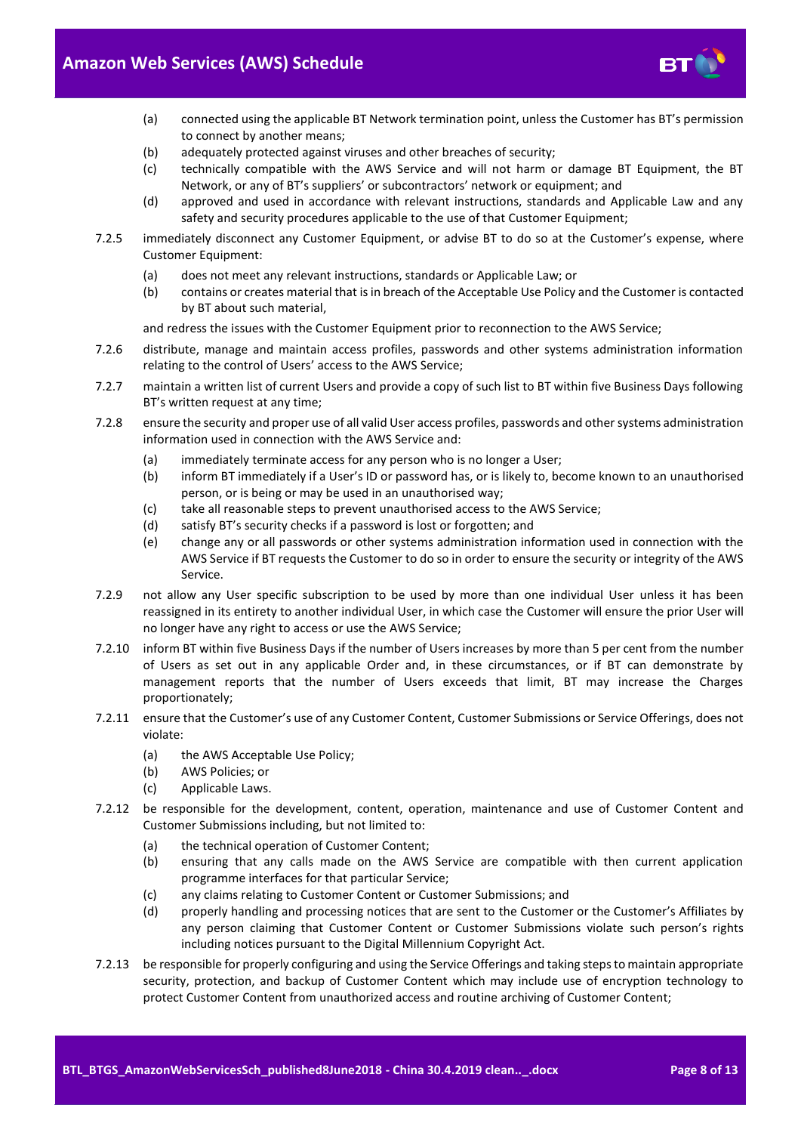

- (a) connected using the applicable BT Network termination point, unless the Customer has BT's permission to connect by another means;
- (b) adequately protected against viruses and other breaches of security;
- (c) technically compatible with the AWS Service and will not harm or damage BT Equipment, the BT Network, or any of BT's suppliers' or subcontractors' network or equipment; and
- (d) approved and used in accordance with relevant instructions, standards and Applicable Law and any safety and security procedures applicable to the use of that Customer Equipment;
- 7.2.5 immediately disconnect any Customer Equipment, or advise BT to do so at the Customer's expense, where Customer Equipment:
	- (a) does not meet any relevant instructions, standards or Applicable Law; or
	- (b) contains or creates material that is in breach of the Acceptable Use Policy and the Customer is contacted by BT about such material,

and redress the issues with the Customer Equipment prior to reconnection to the AWS Service;

- 7.2.6 distribute, manage and maintain access profiles, passwords and other systems administration information relating to the control of Users' access to the AWS Service;
- 7.2.7 maintain a written list of current Users and provide a copy of such list to BT within five Business Days following BT's written request at any time;
- 7.2.8 ensure the security and proper use of all valid User access profiles, passwords and other systems administration information used in connection with the AWS Service and:
	- (a) immediately terminate access for any person who is no longer a User;
	- (b) inform BT immediately if a User's ID or password has, or is likely to, become known to an unauthorised person, or is being or may be used in an unauthorised way;
	- (c) take all reasonable steps to prevent unauthorised access to the AWS Service;
	- (d) satisfy BT's security checks if a password is lost or forgotten; and
	- (e) change any or all passwords or other systems administration information used in connection with the AWS Service if BT requests the Customer to do so in order to ensure the security or integrity of the AWS Service.
- 7.2.9 not allow any User specific subscription to be used by more than one individual User unless it has been reassigned in its entirety to another individual User, in which case the Customer will ensure the prior User will no longer have any right to access or use the AWS Service;
- 7.2.10 inform BT within five Business Days if the number of Users increases by more than 5 per cent from the number of Users as set out in any applicable Order and, in these circumstances, or if BT can demonstrate by management reports that the number of Users exceeds that limit, BT may increase the Charges proportionately;
- <span id="page-7-0"></span>7.2.11 ensure that the Customer's use of any Customer Content, Customer Submissions or Service Offerings, does not violate:
	- (a) the AWS Acceptable Use Policy;
	- (b) AWS Policies; or
	- (c) Applicable Laws.
- 7.2.12 be responsible for the development, content, operation, maintenance and use of Customer Content and Customer Submissions including, but not limited to:
	- (a) the technical operation of Customer Content;
	- (b) ensuring that any calls made on the AWS Service are compatible with then current application programme interfaces for that particular Service;
	- (c) any claims relating to Customer Content or Customer Submissions; and
	- (d) properly handling and processing notices that are sent to the Customer or the Customer's Affiliates by any person claiming that Customer Content or Customer Submissions violate such person's rights including notices pursuant to the Digital Millennium Copyright Act.
- 7.2.13 be responsible for properly configuring and using the Service Offerings and taking steps to maintain appropriate security, protection, and backup of Customer Content which may include use of encryption technology to protect Customer Content from unauthorized access and routine archiving of Customer Content;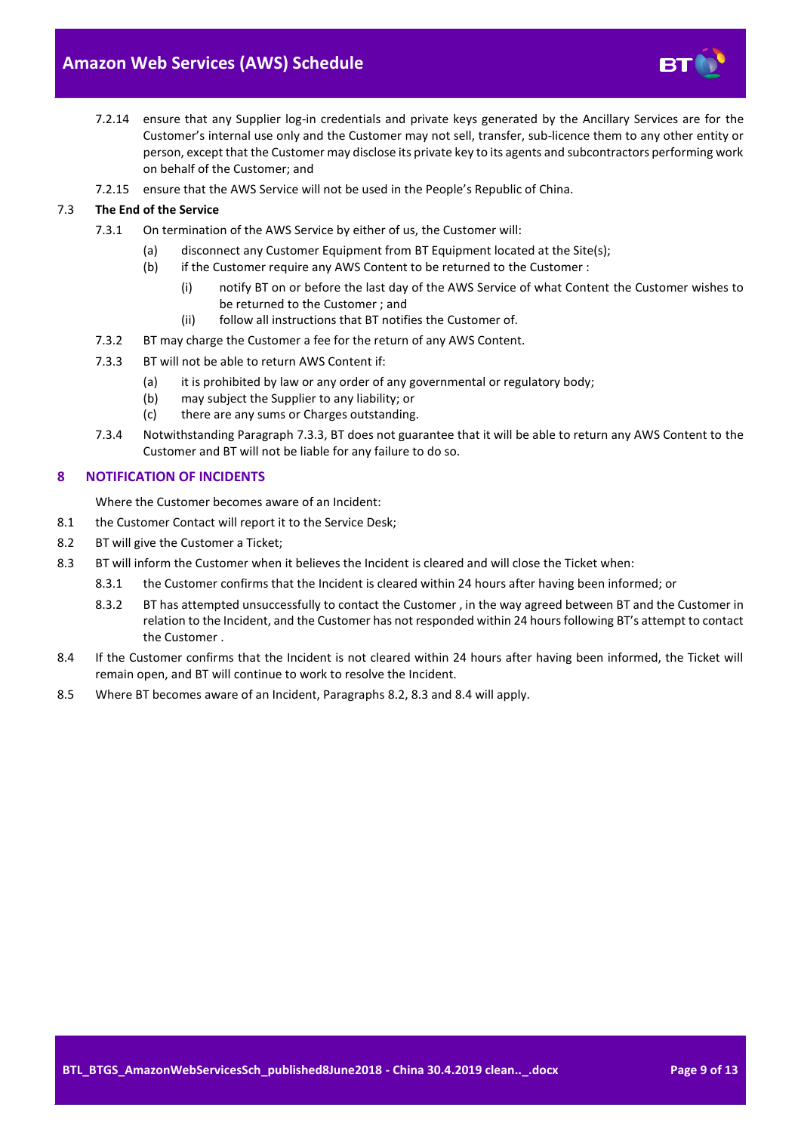

- <span id="page-8-1"></span>7.2.14 ensure that any Supplier log-in credentials and private keys generated by the Ancillary Services are for the Customer's internal use only and the Customer may not sell, transfer, sub-licence them to any other entity or person, except that the Customer may disclose its private key to its agents and subcontractors performing work on behalf of the Customer; and
- 7.2.15 ensure that the AWS Service will not be used in the People's Republic of China.

## 7.3 **The End of the Service**

- <span id="page-8-3"></span>7.3.1 On termination of the AWS Service by either of us, the Customer will:
	- (a) disconnect any Customer Equipment from BT Equipment located at the Site(s);
	- (b) if the Customer require any AWS Content to be returned to the Customer :
		- (i) notify BT on or before the last day of the AWS Service of what Content the Customer wishes to be returned to the Customer ; and
		- (ii) follow all instructions that BT notifies the Customer of.
- 7.3.2 BT may charge the Customer a fee for the return of any AWS Content.
- <span id="page-8-4"></span>7.3.3 BT will not be able to return AWS Content if:
	- (a) it is prohibited by law or any order of any governmental or regulatory body;
	- (b) may subject the Supplier to any liability; or
	- (c) there are any sums or Charges outstanding.
- 7.3.4 Notwithstanding Paragrap[h 7.3.3,](#page-8-4) BT does not guarantee that it will be able to return any AWS Content to the Customer and BT will not be liable for any failure to do so.

## <span id="page-8-0"></span>**8 NOTIFICATION OF INCIDENTS**

Where the Customer becomes aware of an Incident:

- 8.1 the Customer Contact will report it to the Service Desk;
- <span id="page-8-2"></span>8.2 BT will give the Customer a Ticket;
- <span id="page-8-5"></span>8.3 BT will inform the Customer when it believes the Incident is cleared and will close the Ticket when:
	- 8.3.1 the Customer confirms that the Incident is cleared within 24 hours after having been informed; or
	- 8.3.2 BT has attempted unsuccessfully to contact the Customer , in the way agreed between BT and the Customer in relation to the Incident, and the Customer has not responded within 24 hours following BT's attempt to contact the Customer .
- <span id="page-8-6"></span>8.4 If the Customer confirms that the Incident is not cleared within 24 hours after having been informed, the Ticket will remain open, and BT will continue to work to resolve the Incident.
- 8.5 Where BT becomes aware of an Incident, Paragraphs [8.2,](#page-8-2) [8.3](#page-8-5) and [8.4](#page-8-6) will apply.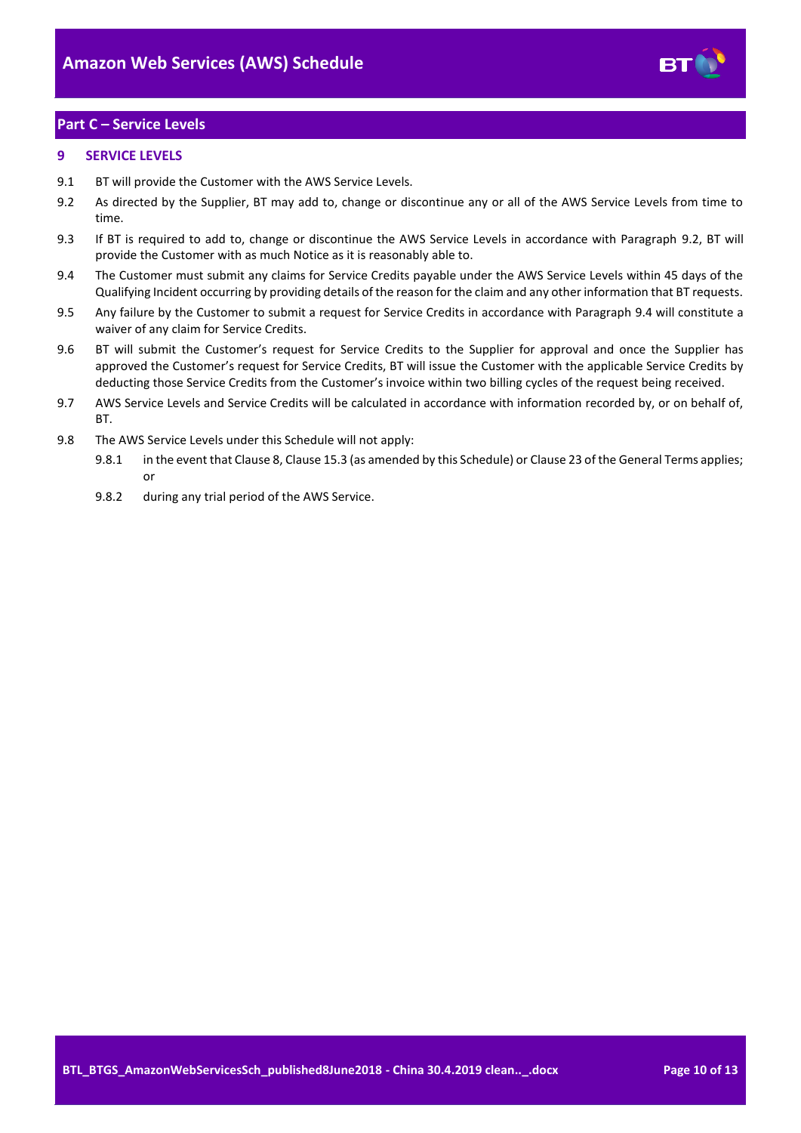

# <span id="page-9-0"></span>**Part C – Service Levels**

## <span id="page-9-1"></span>**9 SERVICE LEVELS**

- 9.1 BT will provide the Customer with the AWS Service Levels.
- <span id="page-9-2"></span>9.2 As directed by the Supplier, BT may add to, change or discontinue any or all of the AWS Service Levels from time to time.
- 9.3 If BT is required to add to, change or discontinue the AWS Service Levels in accordance with Paragraph [9.2,](#page-9-2) BT will provide the Customer with as much Notice as it is reasonably able to.
- <span id="page-9-3"></span>9.4 The Customer must submit any claims for Service Credits payable under the AWS Service Levels within 45 days of the Qualifying Incident occurring by providing details of the reason for the claim and any other information that BT requests.
- 9.5 Any failure by the Customer to submit a request for Service Credits in accordance with Paragraph [9.4](#page-9-3) will constitute a waiver of any claim for Service Credits.
- 9.6 BT will submit the Customer's request for Service Credits to the Supplier for approval and once the Supplier has approved the Customer's request for Service Credits, BT will issue the Customer with the applicable Service Credits by deducting those Service Credits from the Customer's invoice within two billing cycles of the request being received.
- 9.7 AWS Service Levels and Service Credits will be calculated in accordance with information recorded by, or on behalf of, **BT.**
- 9.8 The AWS Service Levels under this Schedule will not apply:
	- 9.8.1 in the event that Clause 8, Clause 15.3 (as amended by this Schedule) or Clause 23 of the General Terms applies; or
	- 9.8.2 during any trial period of the AWS Service.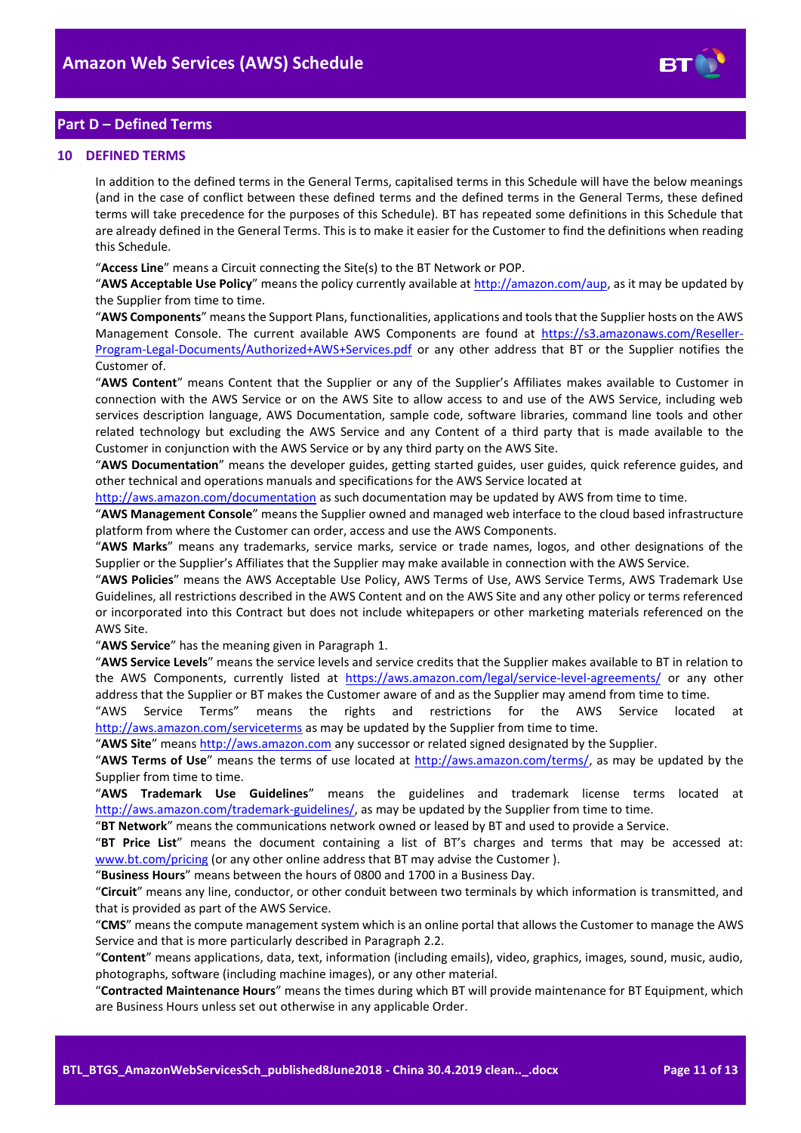

# <span id="page-10-0"></span>**Part D – Defined Terms**

#### <span id="page-10-1"></span>**10 DEFINED TERMS**

In addition to the defined terms in the General Terms, capitalised terms in this Schedule will have the below meanings (and in the case of conflict between these defined terms and the defined terms in the General Terms, these defined terms will take precedence for the purposes of this Schedule). BT has repeated some definitions in this Schedule that are already defined in the General Terms. This is to make it easier for the Customer to find the definitions when reading this Schedule.

"**Access Line**" means a Circuit connecting the Site(s) to the BT Network or POP.

"**AWS Acceptable Use Policy**" means the policy currently available a[t http://amazon.com/aup,](http://amazon.com/aup) as it may be updated by the Supplier from time to time.

"**AWS Components**" means the Support Plans, functionalities, applications and tools that the Supplier hosts on the AWS Management Console. The current available AWS Components are found at [https://s3.amazonaws.com/Reseller-](https://s3.amazonaws.com/Reseller-Program-Legal-Documents/Authorized+AWS+Services.pdf)[Program-Legal-Documents/Authorized+AWS+Services.pdf](https://s3.amazonaws.com/Reseller-Program-Legal-Documents/Authorized+AWS+Services.pdf) or any other address that BT or the Supplier notifies the Customer of.

"**AWS Content**" means Content that the Supplier or any of the Supplier's Affiliates makes available to Customer in connection with the AWS Service or on the AWS Site to allow access to and use of the AWS Service, including web services description language, AWS Documentation, sample code, software libraries, command line tools and other related technology but excluding the AWS Service and any Content of a third party that is made available to the Customer in conjunction with the AWS Service or by any third party on the AWS Site.

"**AWS Documentation**" means the developer guides, getting started guides, user guides, quick reference guides, and other technical and operations manuals and specifications for the AWS Service located at

<http://aws.amazon.com/documentation> as such documentation may be updated by AWS from time to time.

"**AWS Management Console**" means the Supplier owned and managed web interface to the cloud based infrastructure platform from where the Customer can order, access and use the AWS Components.

"**AWS Marks**" means any trademarks, service marks, service or trade names, logos, and other designations of the Supplier or the Supplier's Affiliates that the Supplier may make available in connection with the AWS Service.

"**AWS Policies**" means the AWS Acceptable Use Policy, AWS Terms of Use, AWS Service Terms, AWS Trademark Use Guidelines, all restrictions described in the AWS Content and on the AWS Site and any other policy or terms referenced or incorporated into this Contract but does not include whitepapers or other marketing materials referenced on the AWS Site.

"**AWS Service**" has the meaning given in Paragrap[h 1.](#page-1-2)

"**AWS Service Levels**" means the service levels and service credits that the Supplier makes available to BT in relation to the AWS Components, currently listed at <https://aws.amazon.com/legal/service-level-agreements/> or any other address that the Supplier or BT makes the Customer aware of and as the Supplier may amend from time to time.

"AWS Service Terms" means the rights and restrictions for the AWS Service located at <http://aws.amazon.com/serviceterms> as may be updated by the Supplier from time to time.

"**AWS Site**" mean[s http://aws.amazon.com](http://aws.amazon.com/) any successor or related signed designated by the Supplier.

"**AWS Terms of Use**" means the terms of use located at [http://aws.amazon.com/terms/,](http://aws.amazon.com/terms/) as may be updated by the Supplier from time to time.

"**AWS Trademark Use Guidelines**" means the guidelines and trademark license terms located at [http://aws.amazon.com/trademark-guidelines/,](http://aws.amazon.com/trademark-guidelines/) as may be updated by the Supplier from time to time.

"**BT Network**" means the communications network owned or leased by BT and used to provide a Service.

"**BT Price List**" means the document containing a list of BT's charges and terms that may be accessed at: [www.bt.com/pricing](http://www.bt.com/pricing) (or any other online address that BT may advise the Customer).

"**Business Hours**" means between the hours of 0800 and 1700 in a Business Day.

"**Circuit**" means any line, conductor, or other conduit between two terminals by which information is transmitted, and that is provided as part of the AWS Service.

"**CMS**" means the compute management system which is an online portal that allows the Customer to manage the AWS Service and that is more particularly described in Paragraph [2.2.](#page-1-7)

"**Content**" means applications, data, text, information (including emails), video, graphics, images, sound, music, audio, photographs, software (including machine images), or any other material.

"**Contracted Maintenance Hours**" means the times during which BT will provide maintenance for BT Equipment, which are Business Hours unless set out otherwise in any applicable Order.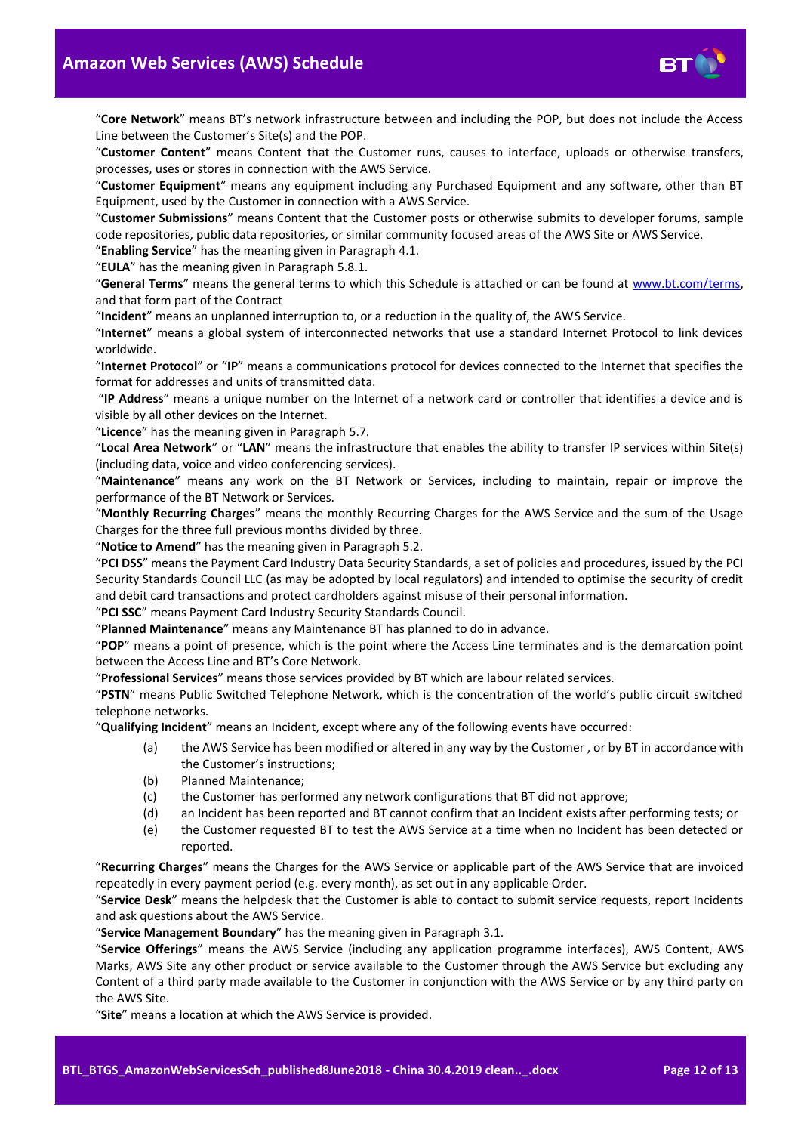

"**Core Network**" means BT's network infrastructure between and including the POP, but does not include the Access Line between the Customer's Site(s) and the POP.

"**Customer Content**" means Content that the Customer runs, causes to interface, uploads or otherwise transfers, processes, uses or stores in connection with the AWS Service.

"**Customer Equipment**" means any equipment including any Purchased Equipment and any software, other than BT Equipment, used by the Customer in connection with a AWS Service.

"**Customer Submissions**" means Content that the Customer posts or otherwise submits to developer forums, sample code repositories, public data repositories, or similar community focused areas of the AWS Site or AWS Service.

"**Enabling Service**" has the meaning given in Paragrap[h 4.1.](#page-1-8)

"**EULA**" has the meaning given in Paragrap[h 5.8.1.](#page-2-2)

"**General Terms**" means the general terms to which this Schedule is attached or can be found at [www.bt.com/terms,](http://www.bt.com/terms) and that form part of the Contract

"**Incident**" means an unplanned interruption to, or a reduction in the quality of, the AWS Service.

"**Internet**" means a global system of interconnected networks that use a standard Internet Protocol to link devices worldwide.

"**Internet Protocol**" or "**IP**" means a communications protocol for devices connected to the Internet that specifies the format for addresses and units of transmitted data.

"**IP Address**" means a unique number on the Internet of a network card or controller that identifies a device and is visible by all other devices on the Internet.

"**Licence**" has the meaning given in Paragrap[h 5.7.](#page-2-3)

"**Local Area Network**" or "**LAN**" means the infrastructure that enables the ability to transfer IP services within Site(s) (including data, voice and video conferencing services).

"**Maintenance**" means any work on the BT Network or Services, including to maintain, repair or improve the performance of the BT Network or Services.

"**Monthly Recurring Charges**" means the monthly Recurring Charges for the AWS Service and the sum of the Usage Charges for the three full previous months divided by three.

"**Notice to Amend**" has the meaning given in Paragraph [5.2.](#page-2-4)

"**PCI DSS**" means the Payment Card Industry Data Security Standards, a set of policies and procedures, issued by the PCI Security Standards Council LLC (as may be adopted by local regulators) and intended to optimise the security of credit and debit card transactions and protect cardholders against misuse of their personal information.

"**PCI SSC**" means Payment Card Industry Security Standards Council.

"**Planned Maintenance**" means any Maintenance BT has planned to do in advance.

"**POP**" means a point of presence, which is the point where the Access Line terminates and is the demarcation point between the Access Line and BT's Core Network.

"**Professional Services**" means those services provided by BT which are labour related services.

"**PSTN**" means Public Switched Telephone Network, which is the concentration of the world's public circuit switched telephone networks.

"**Qualifying Incident**" means an Incident, except where any of the following events have occurred:

- (a) the AWS Service has been modified or altered in any way by the Customer , or by BT in accordance with the Customer's instructions;
- (b) Planned Maintenance;
- (c) the Customer has performed any network configurations that BT did not approve;
- (d) an Incident has been reported and BT cannot confirm that an Incident exists after performing tests; or
- (e) the Customer requested BT to test the AWS Service at a time when no Incident has been detected or reported.

"**Recurring Charges**" means the Charges for the AWS Service or applicable part of the AWS Service that are invoiced repeatedly in every payment period (e.g. every month), as set out in any applicable Order.

"**Service Desk**" means the helpdesk that the Customer is able to contact to submit service requests, report Incidents and ask questions about the AWS Service.

"**Service Management Boundary**" has the meaning given in Paragrap[h 3.1.](#page-1-9)

"**Service Offerings**" means the AWS Service (including any application programme interfaces), AWS Content, AWS Marks, AWS Site any other product or service available to the Customer through the AWS Service but excluding any Content of a third party made available to the Customer in conjunction with the AWS Service or by any third party on the AWS Site.

"**Site**" means a location at which the AWS Service is provided.